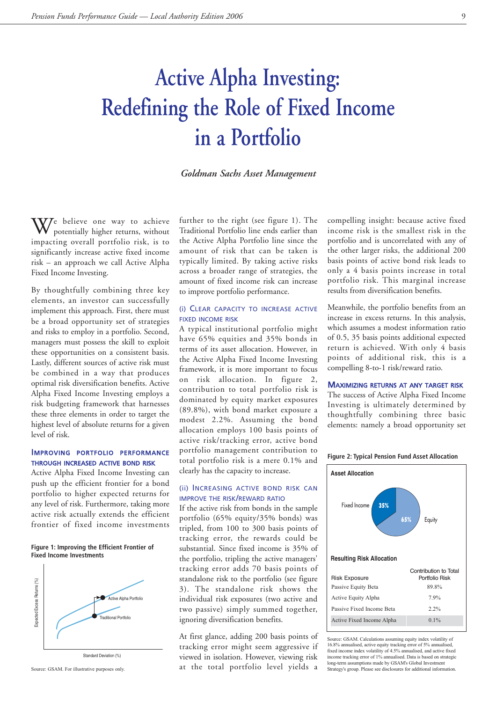# **Active Alpha Investing: Redefining the Role of Fixed Income in a Portfolio**

# *Goldman Sachs Asset Management*

We believe one way to achieve potentially higher returns, without impacting overall portfolio risk, is to significantly increase active fixed income risk – an approach we call Active Alpha Fixed Income Investing.

By thoughtfully combining three key elements, an investor can successfully implement this approach. First, there must be a broad opportunity set of strategies and risks to employ in a portfolio. Second, managers must possess the skill to exploit these opportunities on a consistent basis. Lastly, different sources of active risk must be combined in a way that produces optimal risk diversification benefits. Active Alpha Fixed Income Investing employs a risk budgeting framework that harnesses these three elements in order to target the highest level of absolute returns for a given level of risk.

# IMPROVING PORTFOLIO PERFORMANCE THROUGH INCREASED ACTIVE BOND RISK

Active Alpha Fixed Income Investing can push up the efficient frontier for a bond portfolio to higher expected returns for any level of risk. Furthermore, taking more active risk actually extends the efficient frontier of fixed income investments

#### **Figure 1: Improving the Efficient Frontier of Fixed Income Investments**



further to the right (see figure 1). The Traditional Portfolio line ends earlier than the Active Alpha Portfolio line since the amount of risk that can be taken is typically limited. By taking active risks across a broader range of strategies, the amount of fixed income risk can increase to improve portfolio performance.

## (i) CLEAR CAPACITY TO INCREASE ACTIVE FIXED INCOME RISK

A typical institutional portfolio might have 65% equities and 35% bonds in terms of its asset allocation. However, in the Active Alpha Fixed Income Investing framework, it is more important to focus on risk allocation. In figure 2, contribution to total portfolio risk is dominated by equity market exposures (89.8%), with bond market exposure a modest 2.2%. Assuming the bond allocation employs 100 basis points of active risk/tracking error, active bond portfolio management contribution to total portfolio risk is a mere 0.1% and clearly has the capacity to increase.

# (ii) INCREASING ACTIVE BOND RISK CAN IMPROVE THE RISK/REWARD RATIO

If the active risk from bonds in the sample portfolio (65% equity/35% bonds) was tripled, from 100 to 300 basis points of tracking error, the rewards could be substantial. Since fixed income is 35% of the portfolio, tripling the active managers' tracking error adds 70 basis points of standalone risk to the portfolio (see figure 3). The standalone risk shows the individual risk exposures (two active and two passive) simply summed together, ignoring diversification benefits.

At first glance, adding 200 basis points of tracking error might seem aggressive if viewed in isolation. However, viewing risk at the total portfolio level yields a Source: GSAM. For illustrative purposes only. Source: GSAM. For illustrative purposes only. Strategy's group. Please see disclosures for additional information.

compelling insight: because active fixed income risk is the smallest risk in the portfolio and is uncorrelated with any of the other larger risks, the additional 200 basis points of active bond risk leads to only a 4 basis points increase in total portfolio risk. This marginal increase results from diversification benefits.

Meanwhile, the portfolio benefits from an increase in excess returns. In this analysis, which assumes a modest information ratio of 0.5, 35 basis points additional expected return is achieved. With only 4 basis points of additional risk, this is a compelling 8-to-1 risk/reward ratio.

#### MAXIMIZING RETURNS AT ANY TARGET RISK

The success of Active Alpha Fixed Income Investing is ultimately determined by thoughtfully combining three basic elements: namely a broad opportunity set



# Source: GSAM. Calculations assuming equity index volatility of 16.8% annualised, active equity tracking error of 5% annualised, fixed income index volatility of 4.5% annualised, and active fixed income tracking error of 1% annualised. Data is based on strategic long-term assumptions made by GSAM's Global Investment